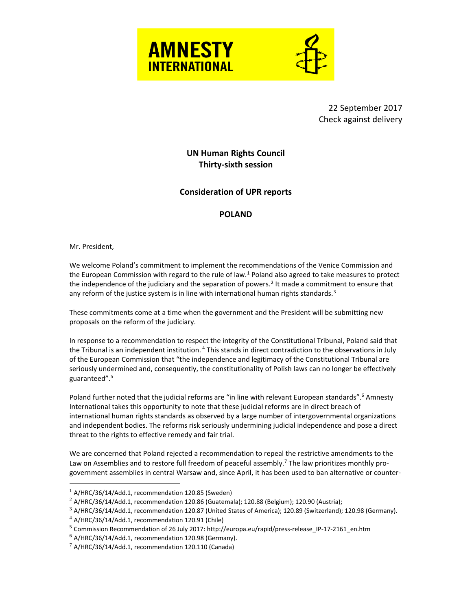



22 September 2017 Check against delivery

**UN Human Rights Council Thirty-sixth session**

**Consideration of UPR reports**

## **POLAND**

Mr. President,

 $\overline{a}$ 

We welcome Poland's commitment to implement the recommendations of the Venice Commission and the European Commission with regard to the rule of law.<sup>1</sup> Poland also agreed to take measures to protect the independence of the judiciary and the separation of powers.<sup>2</sup> It made a commitment to ensure that any reform of the justice system is in line with international human rights standards. $3$ 

These commitments come at a time when the government and the President will be submitting new proposals on the reform of the judiciary.

In response to a recommendation to respect the integrity of the Constitutional Tribunal, Poland said that the Tribunal is an independent institution. <sup>4</sup> This stands in direct contradiction to the observations in July of the European Commission that "the independence and legitimacy of the Constitutional Tribunal are seriously undermined and, consequently, the constitutionality of Polish laws can no longer be effectively guaranteed".<sup>5</sup>

Poland further noted that the judicial reforms are "in line with relevant European standards".<sup>6</sup> Amnesty International takes this opportunity to note that these judicial reforms are in direct breach of international human rights standards as observed by a large number of intergovernmental organizations and independent bodies. The reforms risk seriously undermining judicial independence and pose a direct threat to the rights to effective remedy and fair trial.

We are concerned that Poland rejected a recommendation to repeal the restrictive amendments to the Law on Assemblies and to restore full freedom of peaceful assembly.<sup>7</sup> The law prioritizes monthly progovernment assemblies in central Warsaw and, since April, it has been used to ban alternative or counter-

 $1$  A/HRC/36/14/Add.1, recommendation 120.85 (Sweden)

 $^2$  A/HRC/36/14/Add.1, recommendation 120.86 (Guatemala); 120.88 (Belgium); 120.90 (Austria);

 $3$  A/HRC/36/14/Add.1, recommendation 120.87 (United States of America); 120.89 (Switzerland); 120.98 (Germany).

<sup>4</sup> A/HRC/36/14/Add.1, recommendation 120.91 (Chile)

<sup>5</sup> [Commission Recommendation of 26 July 2017:](http://ec.europa.eu/newsroom/document.cfm?doc_id=46116) http://europa.eu/rapid/press-release\_IP-17-2161\_en.htm

 $6$  A/HRC/36/14/Add.1, recommendation 120.98 (Germany).

 $7$  A/HRC/36/14/Add.1, recommendation 120.110 (Canada)